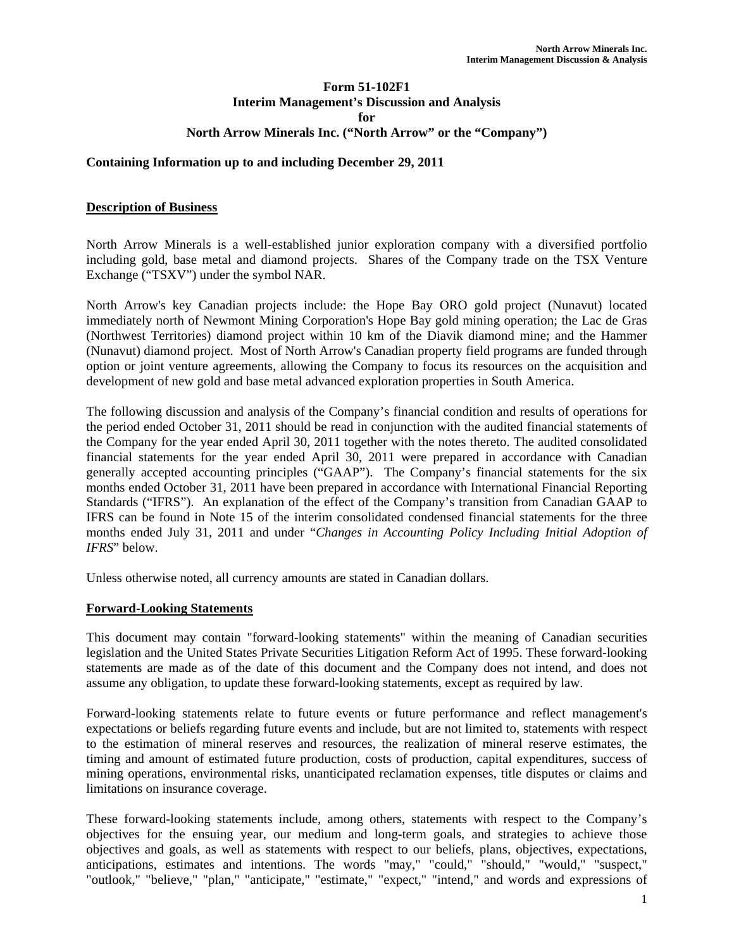### **Form 51-102F1 Interim Management's Discussion and Analysis for North Arrow Minerals Inc. ("North Arrow" or the "Company")**

### **Containing Information up to and including December 29, 2011**

### **Description of Business**

North Arrow Minerals is a well-established junior exploration company with a diversified portfolio including gold, base metal and diamond projects. Shares of the Company trade on the TSX Venture Exchange ("TSXV") under the symbol NAR.

North Arrow's key Canadian projects include: the Hope Bay ORO gold project (Nunavut) located immediately north of Newmont Mining Corporation's Hope Bay gold mining operation; the Lac de Gras (Northwest Territories) diamond project within 10 km of the Diavik diamond mine; and the Hammer (Nunavut) diamond project. Most of North Arrow's Canadian property field programs are funded through option or joint venture agreements, allowing the Company to focus its resources on the acquisition and development of new gold and base metal advanced exploration properties in South America.

The following discussion and analysis of the Company's financial condition and results of operations for the period ended October 31, 2011 should be read in conjunction with the audited financial statements of the Company for the year ended April 30, 2011 together with the notes thereto. The audited consolidated financial statements for the year ended April 30, 2011 were prepared in accordance with Canadian generally accepted accounting principles ("GAAP"). The Company's financial statements for the six months ended October 31, 2011 have been prepared in accordance with International Financial Reporting Standards ("IFRS"). An explanation of the effect of the Company's transition from Canadian GAAP to IFRS can be found in Note 15 of the interim consolidated condensed financial statements for the three months ended July 31, 2011 and under "*Changes in Accounting Policy Including Initial Adoption of IFRS*" below.

Unless otherwise noted, all currency amounts are stated in Canadian dollars.

### **Forward-Looking Statements**

This document may contain "forward-looking statements" within the meaning of Canadian securities legislation and the United States Private Securities Litigation Reform Act of 1995. These forward-looking statements are made as of the date of this document and the Company does not intend, and does not assume any obligation, to update these forward-looking statements, except as required by law.

Forward-looking statements relate to future events or future performance and reflect management's expectations or beliefs regarding future events and include, but are not limited to, statements with respect to the estimation of mineral reserves and resources, the realization of mineral reserve estimates, the timing and amount of estimated future production, costs of production, capital expenditures, success of mining operations, environmental risks, unanticipated reclamation expenses, title disputes or claims and limitations on insurance coverage.

These forward-looking statements include, among others, statements with respect to the Company's objectives for the ensuing year, our medium and long-term goals, and strategies to achieve those objectives and goals, as well as statements with respect to our beliefs, plans, objectives, expectations, anticipations, estimates and intentions. The words "may," "could," "should," "would," "suspect," "outlook," "believe," "plan," "anticipate," "estimate," "expect," "intend," and words and expressions of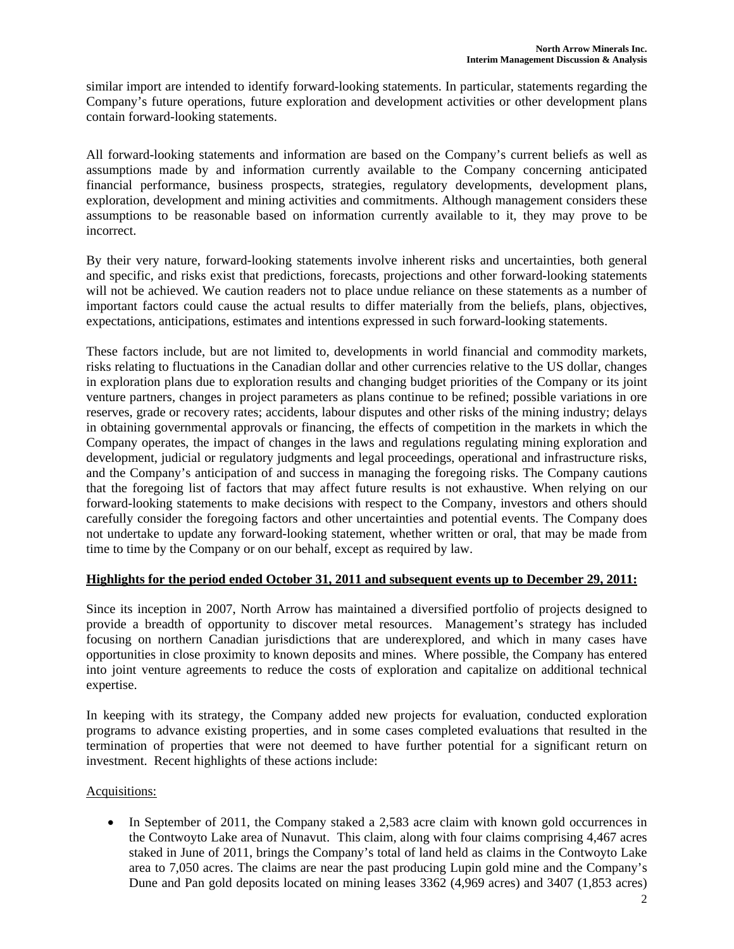similar import are intended to identify forward-looking statements. In particular, statements regarding the Company's future operations, future exploration and development activities or other development plans contain forward-looking statements.

All forward-looking statements and information are based on the Company's current beliefs as well as assumptions made by and information currently available to the Company concerning anticipated financial performance, business prospects, strategies, regulatory developments, development plans, exploration, development and mining activities and commitments. Although management considers these assumptions to be reasonable based on information currently available to it, they may prove to be incorrect.

By their very nature, forward-looking statements involve inherent risks and uncertainties, both general and specific, and risks exist that predictions, forecasts, projections and other forward-looking statements will not be achieved. We caution readers not to place undue reliance on these statements as a number of important factors could cause the actual results to differ materially from the beliefs, plans, objectives, expectations, anticipations, estimates and intentions expressed in such forward-looking statements.

These factors include, but are not limited to, developments in world financial and commodity markets, risks relating to fluctuations in the Canadian dollar and other currencies relative to the US dollar, changes in exploration plans due to exploration results and changing budget priorities of the Company or its joint venture partners, changes in project parameters as plans continue to be refined; possible variations in ore reserves, grade or recovery rates; accidents, labour disputes and other risks of the mining industry; delays in obtaining governmental approvals or financing, the effects of competition in the markets in which the Company operates, the impact of changes in the laws and regulations regulating mining exploration and development, judicial or regulatory judgments and legal proceedings, operational and infrastructure risks, and the Company's anticipation of and success in managing the foregoing risks. The Company cautions that the foregoing list of factors that may affect future results is not exhaustive. When relying on our forward-looking statements to make decisions with respect to the Company, investors and others should carefully consider the foregoing factors and other uncertainties and potential events. The Company does not undertake to update any forward-looking statement, whether written or oral, that may be made from time to time by the Company or on our behalf, except as required by law.

### **Highlights for the period ended October 31, 2011 and subsequent events up to December 29, 2011:**

Since its inception in 2007, North Arrow has maintained a diversified portfolio of projects designed to provide a breadth of opportunity to discover metal resources. Management's strategy has included focusing on northern Canadian jurisdictions that are underexplored, and which in many cases have opportunities in close proximity to known deposits and mines. Where possible, the Company has entered into joint venture agreements to reduce the costs of exploration and capitalize on additional technical expertise.

In keeping with its strategy, the Company added new projects for evaluation, conducted exploration programs to advance existing properties, and in some cases completed evaluations that resulted in the termination of properties that were not deemed to have further potential for a significant return on investment. Recent highlights of these actions include:

# Acquisitions:

• In September of 2011, the Company staked a 2,583 acre claim with known gold occurrences in the Contwoyto Lake area of Nunavut. This claim, along with four claims comprising 4,467 acres staked in June of 2011, brings the Company's total of land held as claims in the Contwoyto Lake area to 7,050 acres. The claims are near the past producing Lupin gold mine and the Company's Dune and Pan gold deposits located on mining leases 3362 (4,969 acres) and 3407 (1,853 acres)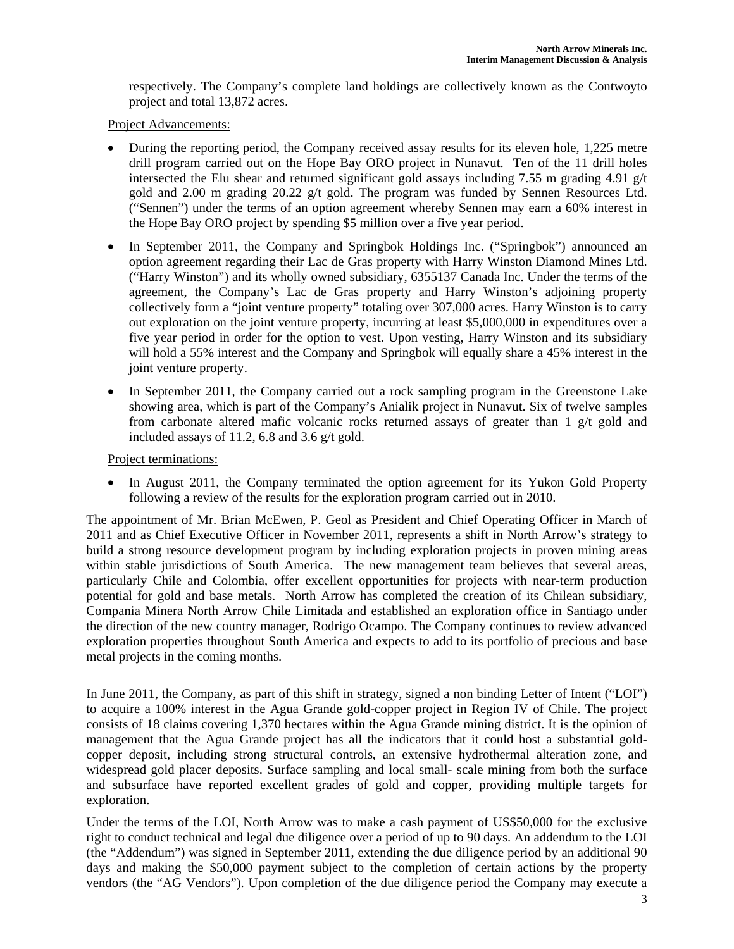respectively. The Company's complete land holdings are collectively known as the Contwoyto project and total 13,872 acres.

Project Advancements:

- During the reporting period, the Company received assay results for its eleven hole, 1,225 metre drill program carried out on the Hope Bay ORO project in Nunavut. Ten of the 11 drill holes intersected the Elu shear and returned significant gold assays including 7.55 m grading 4.91 g/t gold and 2.00 m grading 20.22 g/t gold. The program was funded by Sennen Resources Ltd. ("Sennen") under the terms of an option agreement whereby Sennen may earn a 60% interest in the Hope Bay ORO project by spending \$5 million over a five year period.
- In September 2011, the Company and Springbok Holdings Inc. ("Springbok") announced an option agreement regarding their Lac de Gras property with Harry Winston Diamond Mines Ltd. ("Harry Winston") and its wholly owned subsidiary, 6355137 Canada Inc. Under the terms of the agreement, the Company's Lac de Gras property and Harry Winston's adjoining property collectively form a "joint venture property" totaling over 307,000 acres. Harry Winston is to carry out exploration on the joint venture property, incurring at least \$5,000,000 in expenditures over a five year period in order for the option to vest. Upon vesting, Harry Winston and its subsidiary will hold a 55% interest and the Company and Springbok will equally share a 45% interest in the joint venture property.
- In September 2011, the Company carried out a rock sampling program in the Greenstone Lake showing area, which is part of the Company's Anialik project in Nunavut. Six of twelve samples from carbonate altered mafic volcanic rocks returned assays of greater than 1 g/t gold and included assays of 11.2, 6.8 and 3.6 g/t gold.

Project terminations:

• In August 2011, the Company terminated the option agreement for its Yukon Gold Property following a review of the results for the exploration program carried out in 2010.

The appointment of Mr. Brian McEwen, P. Geol as President and Chief Operating Officer in March of 2011 and as Chief Executive Officer in November 2011, represents a shift in North Arrow's strategy to build a strong resource development program by including exploration projects in proven mining areas within stable jurisdictions of South America. The new management team believes that several areas, particularly Chile and Colombia, offer excellent opportunities for projects with near-term production potential for gold and base metals. North Arrow has completed the creation of its Chilean subsidiary, Compania Minera North Arrow Chile Limitada and established an exploration office in Santiago under the direction of the new country manager, Rodrigo Ocampo. The Company continues to review advanced exploration properties throughout South America and expects to add to its portfolio of precious and base metal projects in the coming months.

In June 2011, the Company, as part of this shift in strategy, signed a non binding Letter of Intent ("LOI") to acquire a 100% interest in the Agua Grande gold-copper project in Region IV of Chile. The project consists of 18 claims covering 1,370 hectares within the Agua Grande mining district. It is the opinion of management that the Agua Grande project has all the indicators that it could host a substantial goldcopper deposit, including strong structural controls, an extensive hydrothermal alteration zone, and widespread gold placer deposits. Surface sampling and local small- scale mining from both the surface and subsurface have reported excellent grades of gold and copper, providing multiple targets for exploration.

Under the terms of the LOI, North Arrow was to make a cash payment of US\$50,000 for the exclusive right to conduct technical and legal due diligence over a period of up to 90 days. An addendum to the LOI (the "Addendum") was signed in September 2011, extending the due diligence period by an additional 90 days and making the \$50,000 payment subject to the completion of certain actions by the property vendors (the "AG Vendors"). Upon completion of the due diligence period the Company may execute a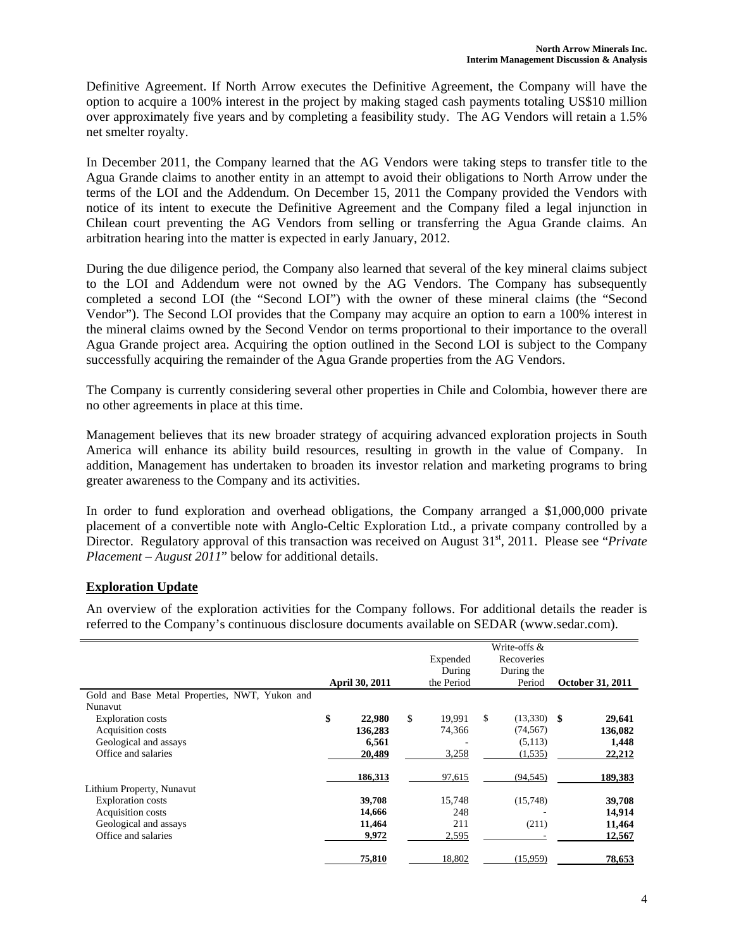Definitive Agreement. If North Arrow executes the Definitive Agreement, the Company will have the option to acquire a 100% interest in the project by making staged cash payments totaling US\$10 million over approximately five years and by completing a feasibility study. The AG Vendors will retain a 1.5% net smelter royalty.

In December 2011, the Company learned that the AG Vendors were taking steps to transfer title to the Agua Grande claims to another entity in an attempt to avoid their obligations to North Arrow under the terms of the LOI and the Addendum. On December 15, 2011 the Company provided the Vendors with notice of its intent to execute the Definitive Agreement and the Company filed a legal injunction in Chilean court preventing the AG Vendors from selling or transferring the Agua Grande claims. An arbitration hearing into the matter is expected in early January, 2012.

During the due diligence period, the Company also learned that several of the key mineral claims subject to the LOI and Addendum were not owned by the AG Vendors. The Company has subsequently completed a second LOI (the "Second LOI") with the owner of these mineral claims (the "Second Vendor"). The Second LOI provides that the Company may acquire an option to earn a 100% interest in the mineral claims owned by the Second Vendor on terms proportional to their importance to the overall Agua Grande project area. Acquiring the option outlined in the Second LOI is subject to the Company successfully acquiring the remainder of the Agua Grande properties from the AG Vendors.

The Company is currently considering several other properties in Chile and Colombia, however there are no other agreements in place at this time.

Management believes that its new broader strategy of acquiring advanced exploration projects in South America will enhance its ability build resources, resulting in growth in the value of Company. In addition, Management has undertaken to broaden its investor relation and marketing programs to bring greater awareness to the Company and its activities.

In order to fund exploration and overhead obligations, the Company arranged a \$1,000,000 private placement of a convertible note with Anglo-Celtic Exploration Ltd., a private company controlled by a Director. Regulatory approval of this transaction was received on August 31<sup>st</sup>, 2011. Please see "*Private*" *Placement – August 2011*" below for additional details.

# **Exploration Update**

An overview of the exploration activities for the Company follows. For additional details the reader is referred to the Company's continuous disclosure documents available on SEDAR (www.sedar.com).

|                                                |                       |              | Write-offs &        |                         |
|------------------------------------------------|-----------------------|--------------|---------------------|-------------------------|
|                                                |                       | Expended     | Recoveries          |                         |
|                                                |                       | During       | During the          |                         |
|                                                | <b>April 30, 2011</b> | the Period   | Period              | <b>October 31, 2011</b> |
| Gold and Base Metal Properties, NWT, Yukon and |                       |              |                     |                         |
| Nunavut                                        |                       |              |                     |                         |
| <b>Exploration</b> costs                       | \$<br>22,980          | \$<br>19.991 | \$<br>$(13,330)$ \$ | 29,641                  |
| Acquisition costs                              | 136,283               | 74.366       | (74, 567)           | 136,082                 |
| Geological and assays                          | 6,561                 |              | (5,113)             | 1,448                   |
| Office and salaries                            | 20,489                | 3,258        | (1, 535)            | 22,212                  |
|                                                | 186,313               | 97,615       | (94, 545)           | 189,383                 |
| Lithium Property, Nunavut                      |                       |              |                     |                         |
| <b>Exploration</b> costs                       | 39,708                | 15,748       | (15,748)            | 39,708                  |
| <b>Acquisition costs</b>                       | 14,666                | 248          |                     | 14,914                  |
| Geological and assays                          | 11,464                | 211          | (211)               | 11,464                  |
| Office and salaries                            | 9,972                 | 2,595        |                     | 12,567                  |
|                                                | 75,810                | 18,802       | (15,959)            | 78,653                  |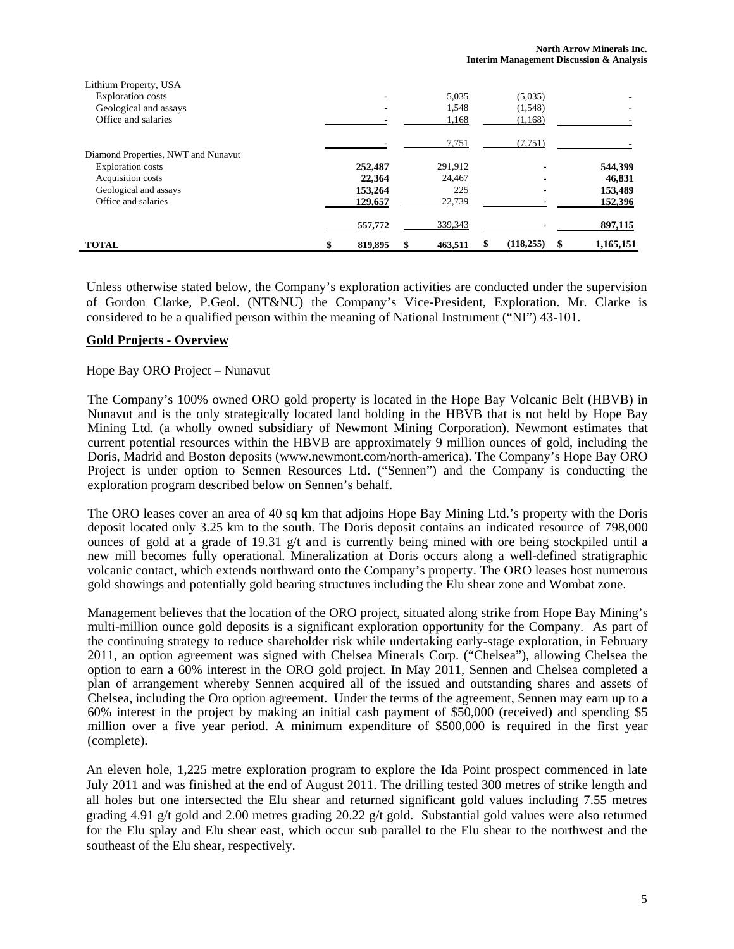| Lithium Property, USA               |         |         |                          |           |
|-------------------------------------|---------|---------|--------------------------|-----------|
| <b>Exploration costs</b>            |         | 5,035   | (5,035)                  |           |
| Geological and assays               |         | 1,548   | (1,548)                  |           |
| Office and salaries                 |         | 1,168   | (1,168)                  |           |
|                                     |         | 7,751   | (7,751)                  |           |
| Diamond Properties, NWT and Nunavut |         |         |                          |           |
| <b>Exploration</b> costs            | 252,487 | 291,912 |                          | 544,399   |
| Acquisition costs                   | 22,364  | 24,467  | $\blacksquare$           | 46,831    |
| Geological and assays               | 153,264 | 225     | $\overline{\phantom{0}}$ | 153,489   |
| Office and salaries                 | 129,657 | 22,739  |                          | 152,396   |
|                                     | 557,772 | 339,343 |                          | 897,115   |
| <b>TOTAL</b>                        | 819,895 | 463.511 | (118, 255)               | 1,165,151 |

Unless otherwise stated below, the Company's exploration activities are conducted under the supervision of Gordon Clarke, P.Geol. (NT&NU) the Company's Vice-President, Exploration. Mr. Clarke is considered to be a qualified person within the meaning of National Instrument ("NI") 43-101.

### **Gold Projects - Overview**

#### Hope Bay ORO Project – Nunavut

The Company's 100% owned ORO gold property is located in the Hope Bay Volcanic Belt (HBVB) in Nunavut and is the only strategically located land holding in the HBVB that is not held by Hope Bay Mining Ltd. (a wholly owned subsidiary of Newmont Mining Corporation). Newmont estimates that current potential resources within the HBVB are approximately 9 million ounces of gold, including the Doris, Madrid and Boston deposits (www.newmont.com/north-america). The Company's Hope Bay ORO Project is under option to Sennen Resources Ltd. ("Sennen") and the Company is conducting the exploration program described below on Sennen's behalf.

The ORO leases cover an area of 40 sq km that adjoins Hope Bay Mining Ltd.'s property with the Doris deposit located only 3.25 km to the south. The Doris deposit contains an indicated resource of 798,000 ounces of gold at a grade of 19.31 g/t and is currently being mined with ore being stockpiled until a new mill becomes fully operational. Mineralization at Doris occurs along a well-defined stratigraphic volcanic contact, which extends northward onto the Company's property. The ORO leases host numerous gold showings and potentially gold bearing structures including the Elu shear zone and Wombat zone.

Management believes that the location of the ORO project, situated along strike from Hope Bay Mining's multi-million ounce gold deposits is a significant exploration opportunity for the Company. As part of the continuing strategy to reduce shareholder risk while undertaking early-stage exploration, in February 2011, an option agreement was signed with Chelsea Minerals Corp. ("Chelsea"), allowing Chelsea the option to earn a 60% interest in the ORO gold project. In May 2011, Sennen and Chelsea completed a plan of arrangement whereby Sennen acquired all of the issued and outstanding shares and assets of Chelsea, including the Oro option agreement. Under the terms of the agreement, Sennen may earn up to a 60% interest in the project by making an initial cash payment of \$50,000 (received) and spending \$5 million over a five year period. A minimum expenditure of \$500,000 is required in the first year (complete).

An eleven hole, 1,225 metre exploration program to explore the Ida Point prospect commenced in late July 2011 and was finished at the end of August 2011. The drilling tested 300 metres of strike length and all holes but one intersected the Elu shear and returned significant gold values including 7.55 metres grading 4.91 g/t gold and 2.00 metres grading 20.22 g/t gold. Substantial gold values were also returned for the Elu splay and Elu shear east, which occur sub parallel to the Elu shear to the northwest and the southeast of the Elu shear, respectively.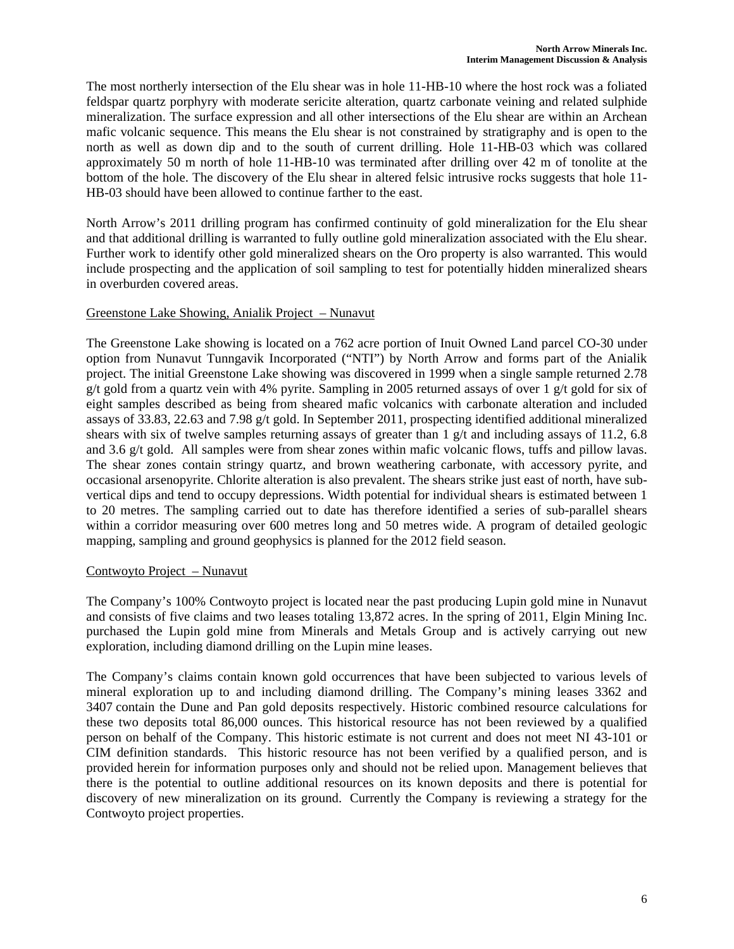The most northerly intersection of the Elu shear was in hole 11-HB-10 where the host rock was a foliated feldspar quartz porphyry with moderate sericite alteration, quartz carbonate veining and related sulphide mineralization. The surface expression and all other intersections of the Elu shear are within an Archean mafic volcanic sequence. This means the Elu shear is not constrained by stratigraphy and is open to the north as well as down dip and to the south of current drilling. Hole 11-HB-03 which was collared approximately 50 m north of hole 11-HB-10 was terminated after drilling over 42 m of tonolite at the bottom of the hole. The discovery of the Elu shear in altered felsic intrusive rocks suggests that hole 11- HB-03 should have been allowed to continue farther to the east.

North Arrow's 2011 drilling program has confirmed continuity of gold mineralization for the Elu shear and that additional drilling is warranted to fully outline gold mineralization associated with the Elu shear. Further work to identify other gold mineralized shears on the Oro property is also warranted. This would include prospecting and the application of soil sampling to test for potentially hidden mineralized shears in overburden covered areas.

### Greenstone Lake Showing, Anialik Project – Nunavut

The Greenstone Lake showing is located on a 762 acre portion of Inuit Owned Land parcel CO-30 under option from Nunavut Tunngavik Incorporated ("NTI") by North Arrow and forms part of the Anialik project. The initial Greenstone Lake showing was discovered in 1999 when a single sample returned 2.78 g/t gold from a quartz vein with 4% pyrite. Sampling in 2005 returned assays of over 1 g/t gold for six of eight samples described as being from sheared mafic volcanics with carbonate alteration and included assays of 33.83, 22.63 and 7.98 g/t gold. In September 2011, prospecting identified additional mineralized shears with six of twelve samples returning assays of greater than 1 g/t and including assays of 11.2, 6.8 and 3.6 g/t gold. All samples were from shear zones within mafic volcanic flows, tuffs and pillow lavas. The shear zones contain stringy quartz, and brown weathering carbonate, with accessory pyrite, and occasional arsenopyrite. Chlorite alteration is also prevalent. The shears strike just east of north, have subvertical dips and tend to occupy depressions. Width potential for individual shears is estimated between 1 to 20 metres. The sampling carried out to date has therefore identified a series of sub-parallel shears within a corridor measuring over 600 metres long and 50 metres wide. A program of detailed geologic mapping, sampling and ground geophysics is planned for the 2012 field season.

### Contwoyto Project – Nunavut

The Company's 100% Contwoyto project is located near the past producing Lupin gold mine in Nunavut and consists of five claims and two leases totaling 13,872 acres. In the spring of 2011, Elgin Mining Inc. purchased the Lupin gold mine from Minerals and Metals Group and is actively carrying out new exploration, including diamond drilling on the Lupin mine leases.

The Company's claims contain known gold occurrences that have been subjected to various levels of mineral exploration up to and including diamond drilling. The Company's mining leases 3362 and 3407 contain the Dune and Pan gold deposits respectively. Historic combined resource calculations for these two deposits total 86,000 ounces. This historical resource has not been reviewed by a qualified person on behalf of the Company. This historic estimate is not current and does not meet NI 43-101 or CIM definition standards. This historic resource has not been verified by a qualified person, and is provided herein for information purposes only and should not be relied upon. Management believes that there is the potential to outline additional resources on its known deposits and there is potential for discovery of new mineralization on its ground. Currently the Company is reviewing a strategy for the Contwoyto project properties.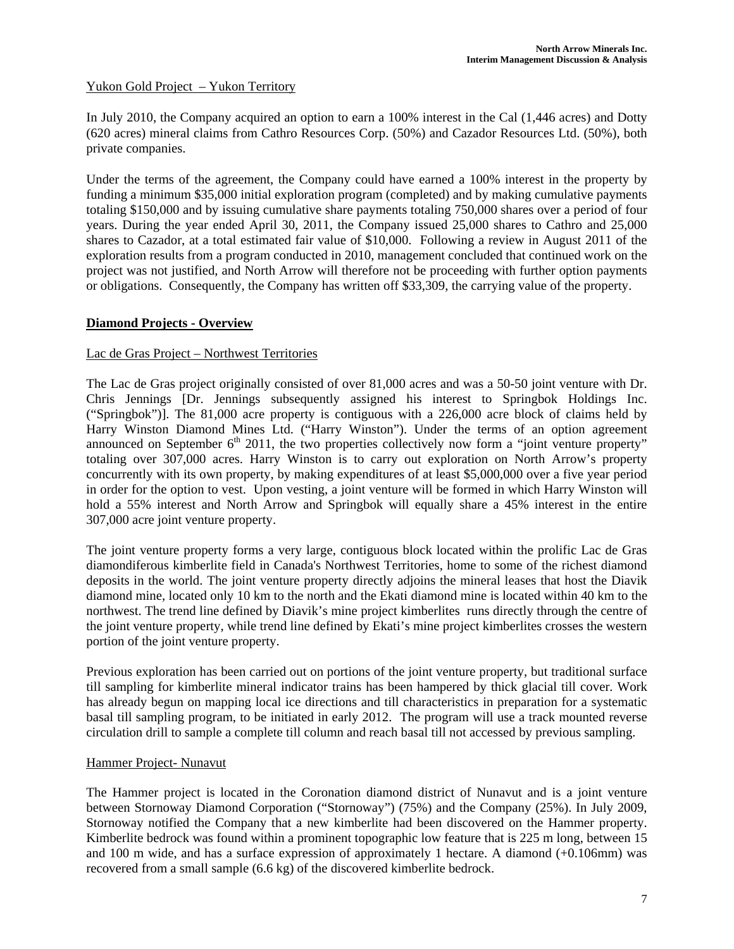# Yukon Gold Project – Yukon Territory

In July 2010, the Company acquired an option to earn a 100% interest in the Cal (1,446 acres) and Dotty (620 acres) mineral claims from Cathro Resources Corp. (50%) and Cazador Resources Ltd. (50%), both private companies.

Under the terms of the agreement, the Company could have earned a 100% interest in the property by funding a minimum \$35,000 initial exploration program (completed) and by making cumulative payments totaling \$150,000 and by issuing cumulative share payments totaling 750,000 shares over a period of four years. During the year ended April 30, 2011, the Company issued 25,000 shares to Cathro and 25,000 shares to Cazador, at a total estimated fair value of \$10,000. Following a review in August 2011 of the exploration results from a program conducted in 2010, management concluded that continued work on the project was not justified, and North Arrow will therefore not be proceeding with further option payments or obligations. Consequently, the Company has written off \$33,309, the carrying value of the property.

# **Diamond Projects - Overview**

### Lac de Gras Project – Northwest Territories

The Lac de Gras project originally consisted of over 81,000 acres and was a 50-50 joint venture with Dr. Chris Jennings [Dr. Jennings subsequently assigned his interest to Springbok Holdings Inc. ("Springbok")]. The 81,000 acre property is contiguous with a 226,000 acre block of claims held by Harry Winston Diamond Mines Ltd. ("Harry Winston"). Under the terms of an option agreement announced on September  $6<sup>th</sup>$  2011, the two properties collectively now form a "joint venture property" totaling over 307,000 acres. Harry Winston is to carry out exploration on North Arrow's property concurrently with its own property, by making expenditures of at least \$5,000,000 over a five year period in order for the option to vest. Upon vesting, a joint venture will be formed in which Harry Winston will hold a 55% interest and North Arrow and Springbok will equally share a 45% interest in the entire 307,000 acre joint venture property.

The joint venture property forms a very large, contiguous block located within the prolific Lac de Gras diamondiferous kimberlite field in Canada's Northwest Territories, home to some of the richest diamond deposits in the world. The joint venture property directly adjoins the mineral leases that host the Diavik diamond mine, located only 10 km to the north and the Ekati diamond mine is located within 40 km to the northwest. The trend line defined by Diavik's mine project kimberlites runs directly through the centre of the joint venture property, while trend line defined by Ekati's mine project kimberlites crosses the western portion of the joint venture property.

Previous exploration has been carried out on portions of the joint venture property, but traditional surface till sampling for kimberlite mineral indicator trains has been hampered by thick glacial till cover. Work has already begun on mapping local ice directions and till characteristics in preparation for a systematic basal till sampling program, to be initiated in early 2012. The program will use a track mounted reverse circulation drill to sample a complete till column and reach basal till not accessed by previous sampling.

### Hammer Project- Nunavut

The Hammer project is located in the Coronation diamond district of Nunavut and is a joint venture between Stornoway Diamond Corporation ("Stornoway") (75%) and the Company (25%). In July 2009, Stornoway notified the Company that a new kimberlite had been discovered on the Hammer property. Kimberlite bedrock was found within a prominent topographic low feature that is 225 m long, between 15 and 100 m wide, and has a surface expression of approximately 1 hectare. A diamond (+0.106mm) was recovered from a small sample (6.6 kg) of the discovered kimberlite bedrock.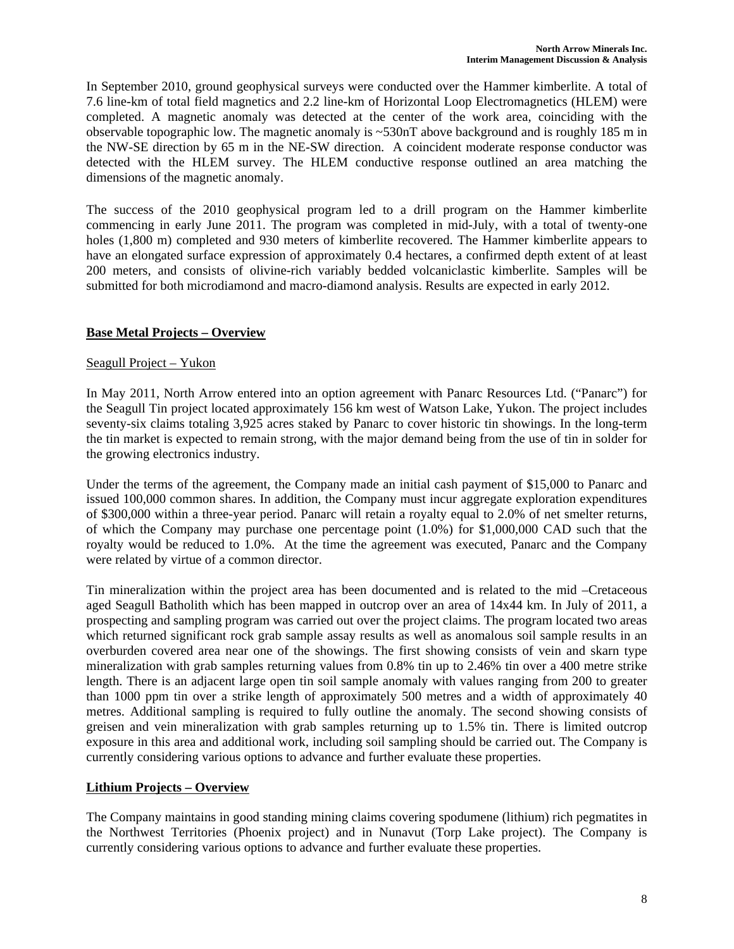In September 2010, ground geophysical surveys were conducted over the Hammer kimberlite. A total of 7.6 line-km of total field magnetics and 2.2 line-km of Horizontal Loop Electromagnetics (HLEM) were completed. A magnetic anomaly was detected at the center of the work area, coinciding with the observable topographic low. The magnetic anomaly is ~530nT above background and is roughly 185 m in the NW-SE direction by 65 m in the NE-SW direction. A coincident moderate response conductor was detected with the HLEM survey. The HLEM conductive response outlined an area matching the dimensions of the magnetic anomaly.

The success of the 2010 geophysical program led to a drill program on the Hammer kimberlite commencing in early June 2011. The program was completed in mid-July, with a total of twenty-one holes (1,800 m) completed and 930 meters of kimberlite recovered. The Hammer kimberlite appears to have an elongated surface expression of approximately 0.4 hectares, a confirmed depth extent of at least 200 meters, and consists of olivine-rich variably bedded volcaniclastic kimberlite. Samples will be submitted for both microdiamond and macro-diamond analysis. Results are expected in early 2012.

# **Base Metal Projects – Overview**

# Seagull Project – Yukon

In May 2011, North Arrow entered into an option agreement with Panarc Resources Ltd. ("Panarc") for the Seagull Tin project located approximately 156 km west of Watson Lake, Yukon. The project includes seventy-six claims totaling 3,925 acres staked by Panarc to cover historic tin showings. In the long-term the tin market is expected to remain strong, with the major demand being from the use of tin in solder for the growing electronics industry.

Under the terms of the agreement, the Company made an initial cash payment of \$15,000 to Panarc and issued 100,000 common shares. In addition, the Company must incur aggregate exploration expenditures of \$300,000 within a three-year period. Panarc will retain a royalty equal to 2.0% of net smelter returns, of which the Company may purchase one percentage point (1.0%) for \$1,000,000 CAD such that the royalty would be reduced to 1.0%. At the time the agreement was executed, Panarc and the Company were related by virtue of a common director.

Tin mineralization within the project area has been documented and is related to the mid –Cretaceous aged Seagull Batholith which has been mapped in outcrop over an area of 14x44 km. In July of 2011, a prospecting and sampling program was carried out over the project claims. The program located two areas which returned significant rock grab sample assay results as well as anomalous soil sample results in an overburden covered area near one of the showings. The first showing consists of vein and skarn type mineralization with grab samples returning values from 0.8% tin up to 2.46% tin over a 400 metre strike length. There is an adjacent large open tin soil sample anomaly with values ranging from 200 to greater than 1000 ppm tin over a strike length of approximately 500 metres and a width of approximately 40 metres. Additional sampling is required to fully outline the anomaly. The second showing consists of greisen and vein mineralization with grab samples returning up to 1.5% tin. There is limited outcrop exposure in this area and additional work, including soil sampling should be carried out. The Company is currently considering various options to advance and further evaluate these properties.

# **Lithium Projects – Overview**

The Company maintains in good standing mining claims covering spodumene (lithium) rich pegmatites in the Northwest Territories (Phoenix project) and in Nunavut (Torp Lake project). The Company is currently considering various options to advance and further evaluate these properties.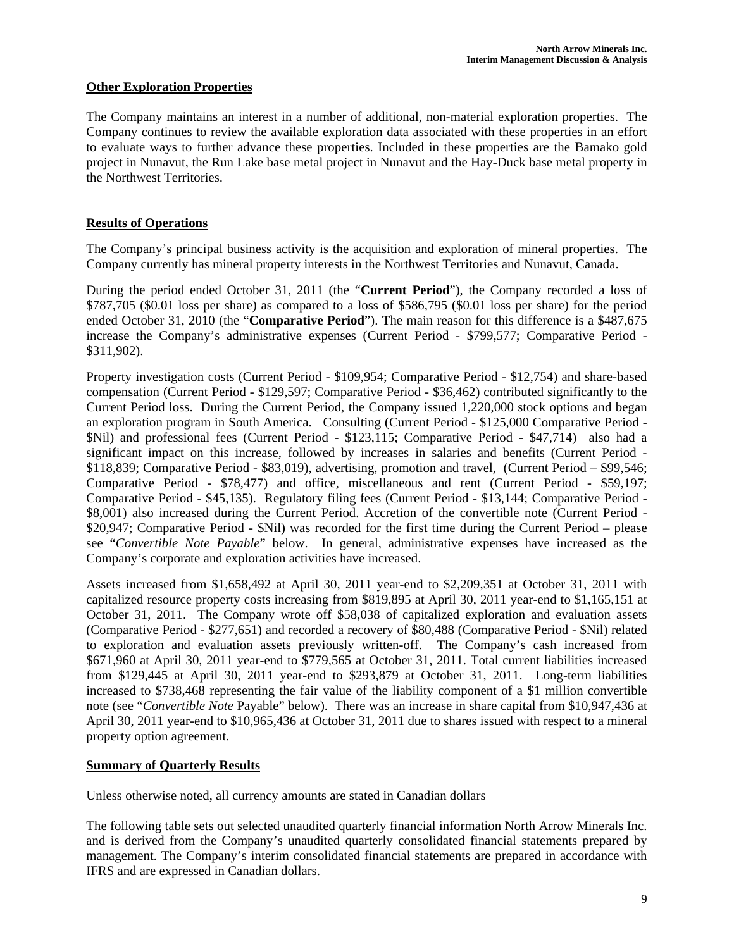# **Other Exploration Properties**

The Company maintains an interest in a number of additional, non-material exploration properties. The Company continues to review the available exploration data associated with these properties in an effort to evaluate ways to further advance these properties. Included in these properties are the Bamako gold project in Nunavut, the Run Lake base metal project in Nunavut and the Hay-Duck base metal property in the Northwest Territories.

# **Results of Operations**

The Company's principal business activity is the acquisition and exploration of mineral properties. The Company currently has mineral property interests in the Northwest Territories and Nunavut, Canada.

During the period ended October 31, 2011 (the "**Current Period**"), the Company recorded a loss of \$787,705 (\$0.01 loss per share) as compared to a loss of \$586,795 (\$0.01 loss per share) for the period ended October 31, 2010 (the "**Comparative Period**"). The main reason for this difference is a \$487,675 increase the Company's administrative expenses (Current Period - \$799,577; Comparative Period - \$311,902).

Property investigation costs (Current Period - \$109,954; Comparative Period - \$12,754) and share-based compensation (Current Period - \$129,597; Comparative Period - \$36,462) contributed significantly to the Current Period loss. During the Current Period, the Company issued 1,220,000 stock options and began an exploration program in South America. Consulting (Current Period - \$125,000 Comparative Period - \$Nil) and professional fees (Current Period - \$123,115; Comparative Period - \$47,714) also had a significant impact on this increase, followed by increases in salaries and benefits (Current Period - \$118,839; Comparative Period - \$83,019), advertising, promotion and travel, (Current Period – \$99,546; Comparative Period - \$78,477) and office, miscellaneous and rent (Current Period - \$59,197; Comparative Period - \$45,135). Regulatory filing fees (Current Period - \$13,144; Comparative Period - \$8,001) also increased during the Current Period. Accretion of the convertible note (Current Period - \$20,947; Comparative Period - \$Nil) was recorded for the first time during the Current Period – please see "*Convertible Note Payable*" below. In general, administrative expenses have increased as the Company's corporate and exploration activities have increased.

Assets increased from \$1,658,492 at April 30, 2011 year-end to \$2,209,351 at October 31, 2011 with capitalized resource property costs increasing from \$819,895 at April 30, 2011 year-end to \$1,165,151 at October 31, 2011. The Company wrote off \$58,038 of capitalized exploration and evaluation assets (Comparative Period - \$277,651) and recorded a recovery of \$80,488 (Comparative Period - \$Nil) related to exploration and evaluation assets previously written-off. The Company's cash increased from \$671,960 at April 30, 2011 year-end to \$779,565 at October 31, 2011. Total current liabilities increased from \$129,445 at April 30, 2011 year-end to \$293,879 at October 31, 2011. Long-term liabilities increased to \$738,468 representing the fair value of the liability component of a \$1 million convertible note (see "*Convertible Note* Payable" below). There was an increase in share capital from \$10,947,436 at April 30, 2011 year-end to \$10,965,436 at October 31, 2011 due to shares issued with respect to a mineral property option agreement.

### **Summary of Quarterly Results**

Unless otherwise noted, all currency amounts are stated in Canadian dollars

The following table sets out selected unaudited quarterly financial information North Arrow Minerals Inc. and is derived from the Company's unaudited quarterly consolidated financial statements prepared by management. The Company's interim consolidated financial statements are prepared in accordance with IFRS and are expressed in Canadian dollars.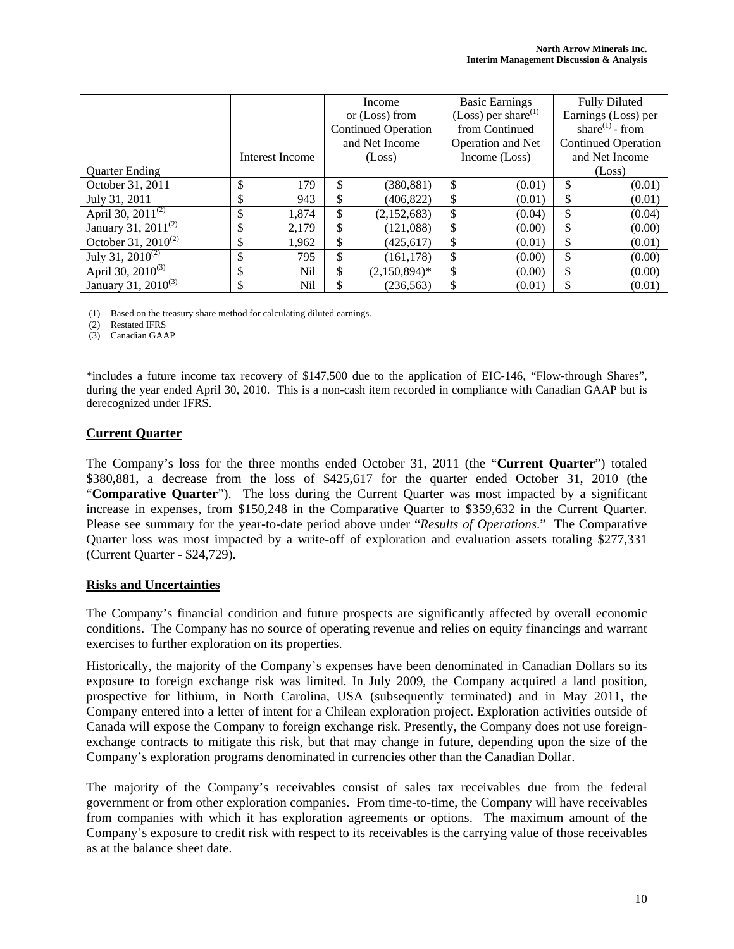|                                      |                 | Income                     |                 | <b>Basic Earnings</b>           |                   | <b>Fully Diluted</b>        |                            |
|--------------------------------------|-----------------|----------------------------|-----------------|---------------------------------|-------------------|-----------------------------|----------------------------|
|                                      |                 | or (Loss) from             |                 | (Loss) per share <sup>(1)</sup> |                   | Earnings (Loss) per         |                            |
|                                      |                 | <b>Continued Operation</b> |                 | from Continued                  |                   | share <sup>(1)</sup> - from |                            |
|                                      |                 |                            | and Net Income  |                                 | Operation and Net |                             | <b>Continued Operation</b> |
|                                      | Interest Income | (Loss)                     |                 | Income (Loss)                   |                   | and Net Income              |                            |
| <b>Ouarter Ending</b>                |                 |                            |                 |                                 |                   |                             | (Loss)                     |
| October 31, 2011                     | \$<br>179       | \$                         | (380, 881)      | \$                              | (0.01)            | \$                          | (0.01)                     |
| July 31, 2011                        | \$<br>943       | \$                         | (406, 822)      |                                 | (0.01)            | \$                          | (0.01)                     |
| April 30, 2011 $^{(2)}$              | \$<br>1,874     | \$                         | (2,152,683)     | \$                              | (0.04)            | \$                          | (0.04)                     |
| January 31, 2011 $\overline{^{(2)}}$ | \$<br>2,179     | \$                         | (121,088)       | \$                              | (0.00)            | \$                          | (0.00)                     |
| October 31, $2010^{(2)}$             | \$<br>1,962     | \$                         | (425.617)       | \$                              | (0.01)            | \$                          | (0.01)                     |
| July 31, $2010^{(2)}$                | \$<br>795       |                            | (161, 178)      | \$                              | (0.00)            | \$                          | (0.00)                     |
| April 30, $2010^{(3)}$               | \$<br>Nil       | \$                         | $(2,150,894)^*$ | \$                              | (0.00)            | \$                          | (0.00)                     |
| January 31, 2010 <sup>(3)</sup>      | \$<br>Nil       |                            | (236.563)       |                                 | (0.01)            | \$                          | (0.01)                     |

(1) Based on the treasury share method for calculating diluted earnings.

(2) Restated IFRS

(3) Canadian GAAP

\*includes a future income tax recovery of \$147,500 due to the application of EIC-146, "Flow-through Shares", during the year ended April 30, 2010. This is a non-cash item recorded in compliance with Canadian GAAP but is derecognized under IFRS.

#### **Current Quarter**

The Company's loss for the three months ended October 31, 2011 (the "**Current Quarter**") totaled \$380,881, a decrease from the loss of \$425,617 for the quarter ended October 31, 2010 (the "**Comparative Quarter**"). The loss during the Current Quarter was most impacted by a significant increase in expenses, from \$150,248 in the Comparative Quarter to \$359,632 in the Current Quarter. Please see summary for the year-to-date period above under "*Results of Operations*." The Comparative Quarter loss was most impacted by a write-off of exploration and evaluation assets totaling \$277,331 (Current Quarter - \$24,729).

#### **Risks and Uncertainties**

The Company's financial condition and future prospects are significantly affected by overall economic conditions. The Company has no source of operating revenue and relies on equity financings and warrant exercises to further exploration on its properties.

Historically, the majority of the Company's expenses have been denominated in Canadian Dollars so its exposure to foreign exchange risk was limited. In July 2009, the Company acquired a land position, prospective for lithium, in North Carolina, USA (subsequently terminated) and in May 2011, the Company entered into a letter of intent for a Chilean exploration project. Exploration activities outside of Canada will expose the Company to foreign exchange risk. Presently, the Company does not use foreignexchange contracts to mitigate this risk, but that may change in future, depending upon the size of the Company's exploration programs denominated in currencies other than the Canadian Dollar.

The majority of the Company's receivables consist of sales tax receivables due from the federal government or from other exploration companies. From time-to-time, the Company will have receivables from companies with which it has exploration agreements or options. The maximum amount of the Company's exposure to credit risk with respect to its receivables is the carrying value of those receivables as at the balance sheet date.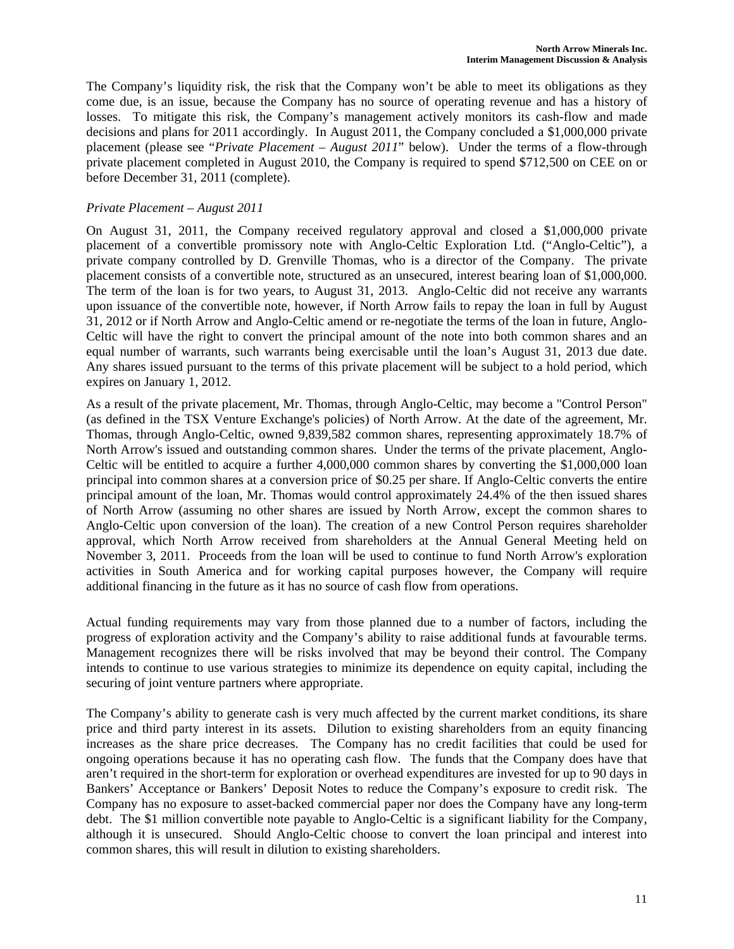The Company's liquidity risk, the risk that the Company won't be able to meet its obligations as they come due, is an issue, because the Company has no source of operating revenue and has a history of losses. To mitigate this risk, the Company's management actively monitors its cash-flow and made decisions and plans for 2011 accordingly. In August 2011, the Company concluded a \$1,000,000 private placement (please see "*Private Placement – August 2011*" below). Under the terms of a flow-through private placement completed in August 2010, the Company is required to spend \$712,500 on CEE on or before December 31, 2011 (complete).

# *Private Placement – August 2011*

On August 31, 2011, the Company received regulatory approval and closed a \$1,000,000 private placement of a convertible promissory note with Anglo-Celtic Exploration Ltd. ("Anglo-Celtic"), a private company controlled by D. Grenville Thomas, who is a director of the Company. The private placement consists of a convertible note, structured as an unsecured, interest bearing loan of \$1,000,000. The term of the loan is for two years, to August 31, 2013. Anglo-Celtic did not receive any warrants upon issuance of the convertible note, however, if North Arrow fails to repay the loan in full by August 31, 2012 or if North Arrow and Anglo-Celtic amend or re-negotiate the terms of the loan in future, Anglo-Celtic will have the right to convert the principal amount of the note into both common shares and an equal number of warrants, such warrants being exercisable until the loan's August 31, 2013 due date. Any shares issued pursuant to the terms of this private placement will be subject to a hold period, which expires on January 1, 2012.

As a result of the private placement, Mr. Thomas, through Anglo-Celtic, may become a "Control Person" (as defined in the TSX Venture Exchange's policies) of North Arrow. At the date of the agreement, Mr. Thomas, through Anglo-Celtic, owned 9,839,582 common shares, representing approximately 18.7% of North Arrow's issued and outstanding common shares. Under the terms of the private placement, Anglo-Celtic will be entitled to acquire a further 4,000,000 common shares by converting the \$1,000,000 loan principal into common shares at a conversion price of \$0.25 per share. If Anglo-Celtic converts the entire principal amount of the loan, Mr. Thomas would control approximately 24.4% of the then issued shares of North Arrow (assuming no other shares are issued by North Arrow, except the common shares to Anglo-Celtic upon conversion of the loan). The creation of a new Control Person requires shareholder approval, which North Arrow received from shareholders at the Annual General Meeting held on November 3, 2011. Proceeds from the loan will be used to continue to fund North Arrow's exploration activities in South America and for working capital purposes however, the Company will require additional financing in the future as it has no source of cash flow from operations.

Actual funding requirements may vary from those planned due to a number of factors, including the progress of exploration activity and the Company's ability to raise additional funds at favourable terms. Management recognizes there will be risks involved that may be beyond their control. The Company intends to continue to use various strategies to minimize its dependence on equity capital, including the securing of joint venture partners where appropriate.

The Company's ability to generate cash is very much affected by the current market conditions, its share price and third party interest in its assets. Dilution to existing shareholders from an equity financing increases as the share price decreases. The Company has no credit facilities that could be used for ongoing operations because it has no operating cash flow. The funds that the Company does have that aren't required in the short-term for exploration or overhead expenditures are invested for up to 90 days in Bankers' Acceptance or Bankers' Deposit Notes to reduce the Company's exposure to credit risk. The Company has no exposure to asset-backed commercial paper nor does the Company have any long-term debt. The \$1 million convertible note payable to Anglo-Celtic is a significant liability for the Company, although it is unsecured. Should Anglo-Celtic choose to convert the loan principal and interest into common shares, this will result in dilution to existing shareholders.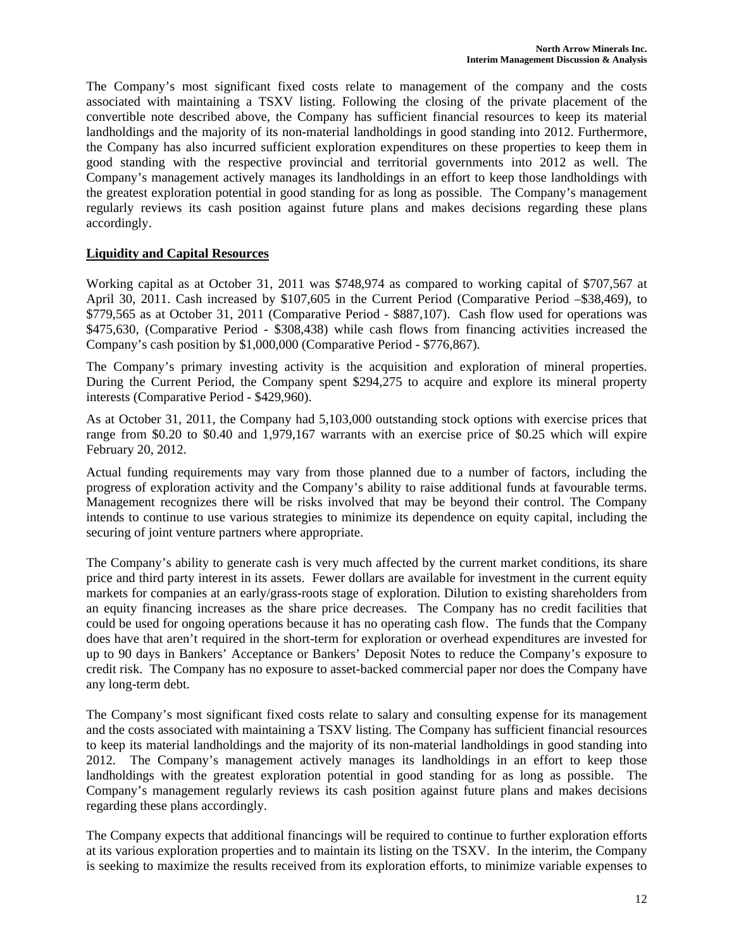The Company's most significant fixed costs relate to management of the company and the costs associated with maintaining a TSXV listing. Following the closing of the private placement of the convertible note described above, the Company has sufficient financial resources to keep its material landholdings and the majority of its non-material landholdings in good standing into 2012. Furthermore, the Company has also incurred sufficient exploration expenditures on these properties to keep them in good standing with the respective provincial and territorial governments into 2012 as well. The Company's management actively manages its landholdings in an effort to keep those landholdings with the greatest exploration potential in good standing for as long as possible. The Company's management regularly reviews its cash position against future plans and makes decisions regarding these plans accordingly.

# **Liquidity and Capital Resources**

Working capital as at October 31, 2011 was \$748,974 as compared to working capital of \$707,567 at April 30, 2011. Cash increased by \$107,605 in the Current Period (Comparative Period –\$38,469), to \$779,565 as at October 31, 2011 (Comparative Period - \$887,107). Cash flow used for operations was \$475,630, (Comparative Period - \$308,438) while cash flows from financing activities increased the Company's cash position by \$1,000,000 (Comparative Period - \$776,867).

The Company's primary investing activity is the acquisition and exploration of mineral properties. During the Current Period, the Company spent \$294,275 to acquire and explore its mineral property interests (Comparative Period - \$429,960).

As at October 31, 2011, the Company had 5,103,000 outstanding stock options with exercise prices that range from \$0.20 to \$0.40 and 1,979,167 warrants with an exercise price of \$0.25 which will expire February 20, 2012.

Actual funding requirements may vary from those planned due to a number of factors, including the progress of exploration activity and the Company's ability to raise additional funds at favourable terms. Management recognizes there will be risks involved that may be beyond their control. The Company intends to continue to use various strategies to minimize its dependence on equity capital, including the securing of joint venture partners where appropriate.

The Company's ability to generate cash is very much affected by the current market conditions, its share price and third party interest in its assets. Fewer dollars are available for investment in the current equity markets for companies at an early/grass-roots stage of exploration. Dilution to existing shareholders from an equity financing increases as the share price decreases. The Company has no credit facilities that could be used for ongoing operations because it has no operating cash flow. The funds that the Company does have that aren't required in the short-term for exploration or overhead expenditures are invested for up to 90 days in Bankers' Acceptance or Bankers' Deposit Notes to reduce the Company's exposure to credit risk. The Company has no exposure to asset-backed commercial paper nor does the Company have any long-term debt.

The Company's most significant fixed costs relate to salary and consulting expense for its management and the costs associated with maintaining a TSXV listing. The Company has sufficient financial resources to keep its material landholdings and the majority of its non-material landholdings in good standing into 2012. The Company's management actively manages its landholdings in an effort to keep those landholdings with the greatest exploration potential in good standing for as long as possible. The Company's management regularly reviews its cash position against future plans and makes decisions regarding these plans accordingly.

The Company expects that additional financings will be required to continue to further exploration efforts at its various exploration properties and to maintain its listing on the TSXV. In the interim, the Company is seeking to maximize the results received from its exploration efforts, to minimize variable expenses to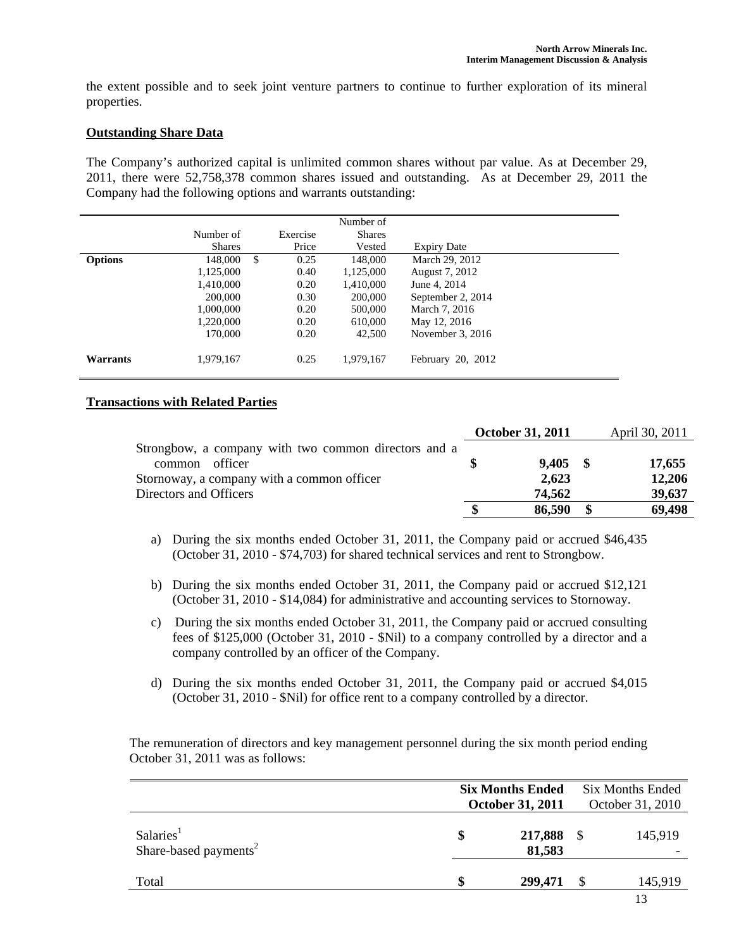the extent possible and to seek joint venture partners to continue to further exploration of its mineral properties.

### **Outstanding Share Data**

The Company's authorized capital is unlimited common shares without par value. As at December 29, 2011, there were 52,758,378 common shares issued and outstanding. As at December 29, 2011 the Company had the following options and warrants outstanding:

|                |               |            | Number of     |                    |
|----------------|---------------|------------|---------------|--------------------|
|                | Number of     | Exercise   | <b>Shares</b> |                    |
|                | <b>Shares</b> | Price      | Vested        | <b>Expiry Date</b> |
| <b>Options</b> | 148,000       | \$<br>0.25 | 148,000       | March 29, 2012     |
|                | 1,125,000     | 0.40       | 1,125,000     | August 7, 2012     |
|                | 1,410,000     | 0.20       | 1,410,000     | June 4, 2014       |
|                | 200,000       | 0.30       | 200,000       | September 2, 2014  |
|                | 1,000,000     | 0.20       | 500,000       | March 7, 2016      |
|                | 1,220,000     | 0.20       | 610,000       | May 12, 2016       |
|                | 170,000       | 0.20       | 42,500        | November 3, 2016   |
| Warrants       | 1,979,167     | 0.25       | 1,979,167     | February 20, 2012  |

# **Transactions with Related Parties**

|                                                      | <b>October 31, 2011</b> |            | April 30, 2011 |
|------------------------------------------------------|-------------------------|------------|----------------|
| Strongbow, a company with two common directors and a |                         |            |                |
| officer<br>common                                    |                         | $9,405$ \$ | 17,655         |
| Stornoway, a company with a common officer           |                         | 2,623      | 12,206         |
| Directors and Officers                               |                         | 74,562     | 39,637         |
|                                                      |                         | 86,590     | 69,498         |

- a) During the six months ended October 31, 2011, the Company paid or accrued \$46,435 (October 31, 2010 - \$74,703) for shared technical services and rent to Strongbow.
- b) During the six months ended October 31, 2011, the Company paid or accrued \$12,121 (October 31, 2010 - \$14,084) for administrative and accounting services to Stornoway.
- c) During the six months ended October 31, 2011, the Company paid or accrued consulting fees of \$125,000 (October 31, 2010 - \$Nil) to a company controlled by a director and a company controlled by an officer of the Company.
- d) During the six months ended October 31, 2011, the Company paid or accrued \$4,015 (October 31, 2010 - \$Nil) for office rent to a company controlled by a director.

 The remuneration of directors and key management personnel during the six month period ending October 31, 2011 was as follows:

|                                                            | <b>Six Months Ended</b><br><b>October 31, 2011</b> | <b>Six Months Ended</b><br>October 31, 2010 |  |         |
|------------------------------------------------------------|----------------------------------------------------|---------------------------------------------|--|---------|
| Salaries <sup>1</sup><br>Share-based payments <sup>2</sup> | \$                                                 | 217,888 \$<br>81,583                        |  | 145,919 |
| Total                                                      | \$                                                 | 299,471                                     |  | 145,919 |
|                                                            |                                                    |                                             |  | 13      |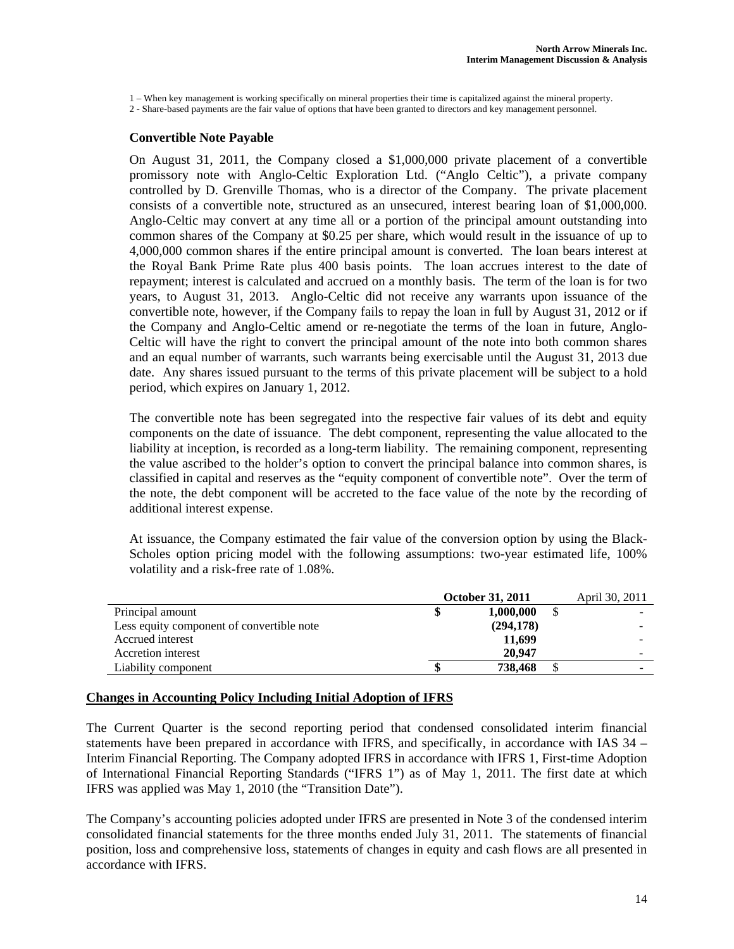1 – When key management is working specifically on mineral properties their time is capitalized against the mineral property.

2 - Share-based payments are the fair value of options that have been granted to directors and key management personnel.

#### **Convertible Note Payable**

On August 31, 2011, the Company closed a \$1,000,000 private placement of a convertible promissory note with Anglo-Celtic Exploration Ltd. ("Anglo Celtic"), a private company controlled by D. Grenville Thomas, who is a director of the Company. The private placement consists of a convertible note, structured as an unsecured, interest bearing loan of \$1,000,000. Anglo-Celtic may convert at any time all or a portion of the principal amount outstanding into common shares of the Company at \$0.25 per share, which would result in the issuance of up to 4,000,000 common shares if the entire principal amount is converted. The loan bears interest at the Royal Bank Prime Rate plus 400 basis points. The loan accrues interest to the date of repayment; interest is calculated and accrued on a monthly basis. The term of the loan is for two years, to August 31, 2013. Anglo-Celtic did not receive any warrants upon issuance of the convertible note, however, if the Company fails to repay the loan in full by August 31, 2012 or if the Company and Anglo-Celtic amend or re-negotiate the terms of the loan in future, Anglo-Celtic will have the right to convert the principal amount of the note into both common shares and an equal number of warrants, such warrants being exercisable until the August 31, 2013 due date. Any shares issued pursuant to the terms of this private placement will be subject to a hold period, which expires on January 1, 2012.

The convertible note has been segregated into the respective fair values of its debt and equity components on the date of issuance. The debt component, representing the value allocated to the liability at inception, is recorded as a long-term liability. The remaining component, representing the value ascribed to the holder's option to convert the principal balance into common shares, is classified in capital and reserves as the "equity component of convertible note". Over the term of the note, the debt component will be accreted to the face value of the note by the recording of additional interest expense.

At issuance, the Company estimated the fair value of the conversion option by using the Black-Scholes option pricing model with the following assumptions: two-year estimated life, 100% volatility and a risk-free rate of 1.08%.

|                                           | October 31, 2011 | April 30, 2011 |   |
|-------------------------------------------|------------------|----------------|---|
| Principal amount                          |                  | 1,000,000      |   |
| Less equity component of convertible note |                  | (294, 178)     |   |
| Accrued interest                          |                  | 11,699         |   |
| Accretion interest                        |                  | 20,947         |   |
| Liability component                       |                  | 738,468        | - |

#### **Changes in Accounting Policy Including Initial Adoption of IFRS**

The Current Quarter is the second reporting period that condensed consolidated interim financial statements have been prepared in accordance with IFRS, and specifically, in accordance with IAS 34 – Interim Financial Reporting. The Company adopted IFRS in accordance with IFRS 1, First-time Adoption of International Financial Reporting Standards ("IFRS 1") as of May 1, 2011. The first date at which IFRS was applied was May 1, 2010 (the "Transition Date").

The Company's accounting policies adopted under IFRS are presented in Note 3 of the condensed interim consolidated financial statements for the three months ended July 31, 2011. The statements of financial position, loss and comprehensive loss, statements of changes in equity and cash flows are all presented in accordance with IFRS.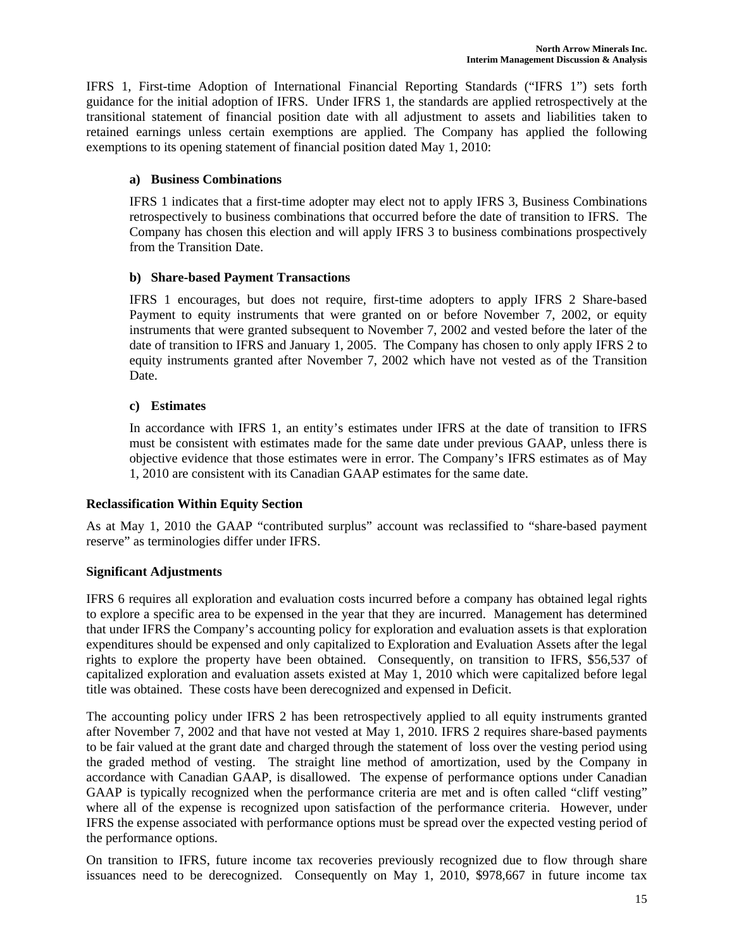IFRS 1, First-time Adoption of International Financial Reporting Standards ("IFRS 1") sets forth guidance for the initial adoption of IFRS. Under IFRS 1, the standards are applied retrospectively at the transitional statement of financial position date with all adjustment to assets and liabilities taken to retained earnings unless certain exemptions are applied. The Company has applied the following exemptions to its opening statement of financial position dated May 1, 2010:

# **a) Business Combinations**

IFRS 1 indicates that a first-time adopter may elect not to apply IFRS 3, Business Combinations retrospectively to business combinations that occurred before the date of transition to IFRS. The Company has chosen this election and will apply IFRS 3 to business combinations prospectively from the Transition Date.

# **b) Share-based Payment Transactions**

IFRS 1 encourages, but does not require, first-time adopters to apply IFRS 2 Share-based Payment to equity instruments that were granted on or before November 7, 2002, or equity instruments that were granted subsequent to November 7, 2002 and vested before the later of the date of transition to IFRS and January 1, 2005. The Company has chosen to only apply IFRS 2 to equity instruments granted after November 7, 2002 which have not vested as of the Transition Date.

# **c) Estimates**

In accordance with IFRS 1, an entity's estimates under IFRS at the date of transition to IFRS must be consistent with estimates made for the same date under previous GAAP, unless there is objective evidence that those estimates were in error. The Company's IFRS estimates as of May 1, 2010 are consistent with its Canadian GAAP estimates for the same date.

### **Reclassification Within Equity Section**

As at May 1, 2010 the GAAP "contributed surplus" account was reclassified to "share-based payment reserve" as terminologies differ under IFRS.

### **Significant Adjustments**

IFRS 6 requires all exploration and evaluation costs incurred before a company has obtained legal rights to explore a specific area to be expensed in the year that they are incurred. Management has determined that under IFRS the Company's accounting policy for exploration and evaluation assets is that exploration expenditures should be expensed and only capitalized to Exploration and Evaluation Assets after the legal rights to explore the property have been obtained. Consequently, on transition to IFRS, \$56,537 of capitalized exploration and evaluation assets existed at May 1, 2010 which were capitalized before legal title was obtained. These costs have been derecognized and expensed in Deficit.

The accounting policy under IFRS 2 has been retrospectively applied to all equity instruments granted after November 7, 2002 and that have not vested at May 1, 2010. IFRS 2 requires share-based payments to be fair valued at the grant date and charged through the statement of loss over the vesting period using the graded method of vesting. The straight line method of amortization, used by the Company in accordance with Canadian GAAP, is disallowed. The expense of performance options under Canadian GAAP is typically recognized when the performance criteria are met and is often called "cliff vesting" where all of the expense is recognized upon satisfaction of the performance criteria. However, under IFRS the expense associated with performance options must be spread over the expected vesting period of the performance options.

On transition to IFRS, future income tax recoveries previously recognized due to flow through share issuances need to be derecognized. Consequently on May 1, 2010, \$978,667 in future income tax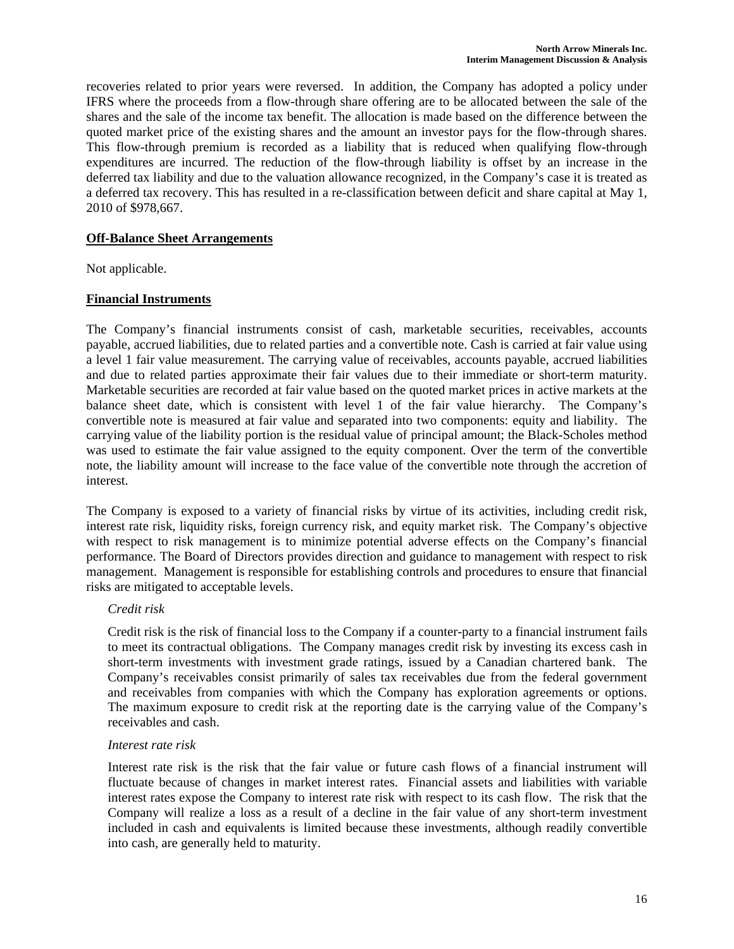recoveries related to prior years were reversed. In addition, the Company has adopted a policy under IFRS where the proceeds from a flow-through share offering are to be allocated between the sale of the shares and the sale of the income tax benefit. The allocation is made based on the difference between the quoted market price of the existing shares and the amount an investor pays for the flow-through shares. This flow-through premium is recorded as a liability that is reduced when qualifying flow-through expenditures are incurred. The reduction of the flow-through liability is offset by an increase in the deferred tax liability and due to the valuation allowance recognized, in the Company's case it is treated as a deferred tax recovery. This has resulted in a re-classification between deficit and share capital at May 1, 2010 of \$978,667.

### **Off-Balance Sheet Arrangements**

Not applicable.

### **Financial Instruments**

The Company's financial instruments consist of cash, marketable securities, receivables, accounts payable, accrued liabilities, due to related parties and a convertible note. Cash is carried at fair value using a level 1 fair value measurement. The carrying value of receivables, accounts payable, accrued liabilities and due to related parties approximate their fair values due to their immediate or short-term maturity. Marketable securities are recorded at fair value based on the quoted market prices in active markets at the balance sheet date, which is consistent with level 1 of the fair value hierarchy. The Company's convertible note is measured at fair value and separated into two components: equity and liability. The carrying value of the liability portion is the residual value of principal amount; the Black-Scholes method was used to estimate the fair value assigned to the equity component. Over the term of the convertible note, the liability amount will increase to the face value of the convertible note through the accretion of interest.

The Company is exposed to a variety of financial risks by virtue of its activities, including credit risk, interest rate risk, liquidity risks, foreign currency risk, and equity market risk. The Company's objective with respect to risk management is to minimize potential adverse effects on the Company's financial performance. The Board of Directors provides direction and guidance to management with respect to risk management. Management is responsible for establishing controls and procedures to ensure that financial risks are mitigated to acceptable levels.

#### *Credit risk*

Credit risk is the risk of financial loss to the Company if a counter-party to a financial instrument fails to meet its contractual obligations. The Company manages credit risk by investing its excess cash in short-term investments with investment grade ratings, issued by a Canadian chartered bank. The Company's receivables consist primarily of sales tax receivables due from the federal government and receivables from companies with which the Company has exploration agreements or options. The maximum exposure to credit risk at the reporting date is the carrying value of the Company's receivables and cash.

#### *Interest rate risk*

Interest rate risk is the risk that the fair value or future cash flows of a financial instrument will fluctuate because of changes in market interest rates. Financial assets and liabilities with variable interest rates expose the Company to interest rate risk with respect to its cash flow. The risk that the Company will realize a loss as a result of a decline in the fair value of any short-term investment included in cash and equivalents is limited because these investments, although readily convertible into cash, are generally held to maturity.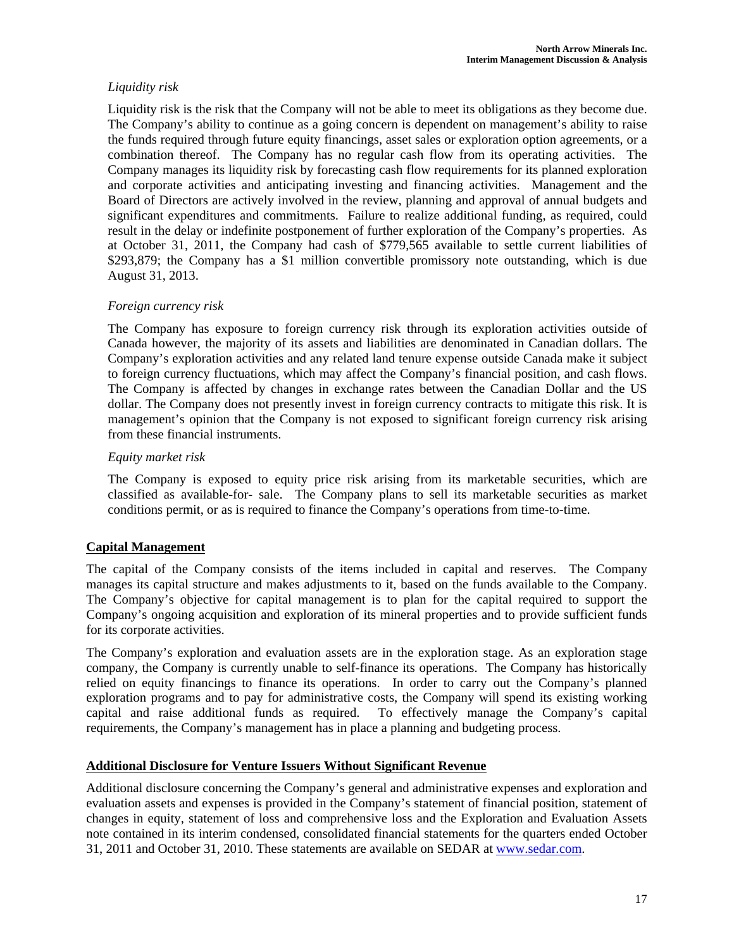# *Liquidity risk*

Liquidity risk is the risk that the Company will not be able to meet its obligations as they become due. The Company's ability to continue as a going concern is dependent on management's ability to raise the funds required through future equity financings, asset sales or exploration option agreements, or a combination thereof. The Company has no regular cash flow from its operating activities. The Company manages its liquidity risk by forecasting cash flow requirements for its planned exploration and corporate activities and anticipating investing and financing activities. Management and the Board of Directors are actively involved in the review, planning and approval of annual budgets and significant expenditures and commitments. Failure to realize additional funding, as required, could result in the delay or indefinite postponement of further exploration of the Company's properties. As at October 31, 2011, the Company had cash of \$779,565 available to settle current liabilities of \$293,879; the Company has a \$1 million convertible promissory note outstanding, which is due August 31, 2013.

# *Foreign currency risk*

The Company has exposure to foreign currency risk through its exploration activities outside of Canada however, the majority of its assets and liabilities are denominated in Canadian dollars. The Company's exploration activities and any related land tenure expense outside Canada make it subject to foreign currency fluctuations, which may affect the Company's financial position, and cash flows. The Company is affected by changes in exchange rates between the Canadian Dollar and the US dollar. The Company does not presently invest in foreign currency contracts to mitigate this risk. It is management's opinion that the Company is not exposed to significant foreign currency risk arising from these financial instruments.

# *Equity market risk*

The Company is exposed to equity price risk arising from its marketable securities, which are classified as available-for- sale. The Company plans to sell its marketable securities as market conditions permit, or as is required to finance the Company's operations from time-to-time.

# **Capital Management**

The capital of the Company consists of the items included in capital and reserves. The Company manages its capital structure and makes adjustments to it, based on the funds available to the Company. The Company's objective for capital management is to plan for the capital required to support the Company's ongoing acquisition and exploration of its mineral properties and to provide sufficient funds for its corporate activities.

The Company's exploration and evaluation assets are in the exploration stage. As an exploration stage company, the Company is currently unable to self-finance its operations. The Company has historically relied on equity financings to finance its operations. In order to carry out the Company's planned exploration programs and to pay for administrative costs, the Company will spend its existing working capital and raise additional funds as required. To effectively manage the Company's capital requirements, the Company's management has in place a planning and budgeting process.

### **Additional Disclosure for Venture Issuers Without Significant Revenue**

Additional disclosure concerning the Company's general and administrative expenses and exploration and evaluation assets and expenses is provided in the Company's statement of financial position, statement of changes in equity, statement of loss and comprehensive loss and the Exploration and Evaluation Assets note contained in its interim condensed, consolidated financial statements for the quarters ended October 31, 2011 and October 31, 2010. These statements are available on SEDAR at www.sedar.com.